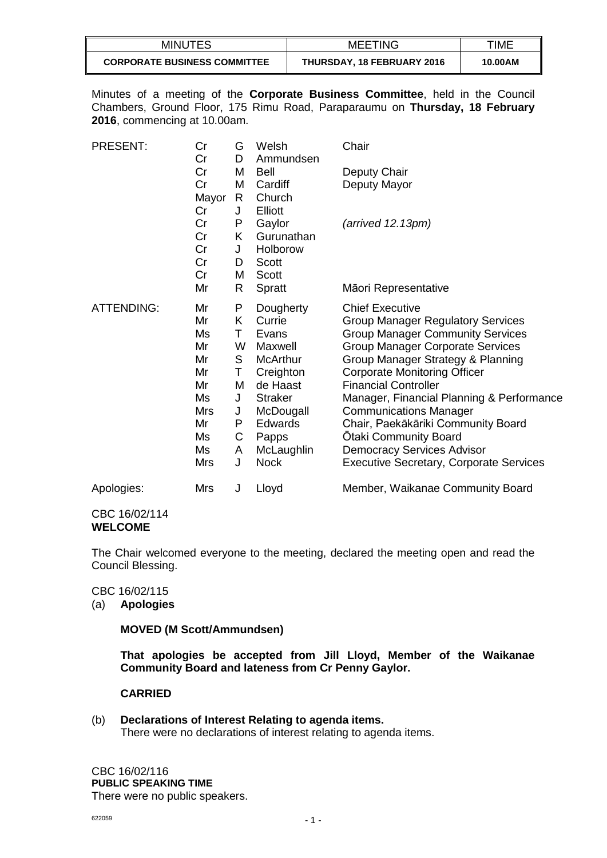| <b>MINUTES</b>                      | <b>MEETING</b>             | TIME    |
|-------------------------------------|----------------------------|---------|
| <b>CORPORATE BUSINESS COMMITTEE</b> | THURSDAY, 18 FEBRUARY 2016 | 10.00AM |

Minutes of a meeting of the **Corporate Business Committee**, held in the Council Chambers, Ground Floor, 175 Rimu Road, Paraparaumu on **Thursday, 18 February 2016**, commencing at 10.00am.

| <b>PRESENT:</b>   | Cr<br>Cr   | G<br>D | Welsh<br>Ammundsen | Chair                                          |
|-------------------|------------|--------|--------------------|------------------------------------------------|
|                   | Cr         | M      | Bell               | Deputy Chair                                   |
|                   | Cr         | M      | Cardiff            | Deputy Mayor                                   |
|                   | Mayor      | R      | Church             |                                                |
|                   | Cr         | J      | Elliott            |                                                |
|                   | Cr         | P      | Gaylor             | $(\text{arrived } 12.13 \text{pm})$            |
|                   | Cr         | K      | Gurunathan         |                                                |
|                   | Cr         | J      | Holborow           |                                                |
|                   | Cr         | D      | Scott              |                                                |
|                   | Cr         | Μ      | Scott              |                                                |
|                   | Mr         | R      | Spratt             | Māori Representative                           |
| <b>ATTENDING:</b> | Mr         | P      | Dougherty          | <b>Chief Executive</b>                         |
|                   | Mr         | K.     | Currie             | <b>Group Manager Regulatory Services</b>       |
|                   | Ms         | Τ      | Evans              | <b>Group Manager Community Services</b>        |
|                   | Mr         | W      | Maxwell            | <b>Group Manager Corporate Services</b>        |
|                   | Mr         | S      | <b>McArthur</b>    | Group Manager Strategy & Planning              |
|                   | Mr         | Τ      | Creighton          | <b>Corporate Monitoring Officer</b>            |
|                   | Mr         | M      | de Haast           | <b>Financial Controller</b>                    |
|                   | Ms         | J      | <b>Straker</b>     | Manager, Financial Planning & Performance      |
|                   | <b>Mrs</b> | J      | McDougall          | <b>Communications Manager</b>                  |
|                   | Mr         | P      | Edwards            | Chair, Paekākāriki Community Board             |
|                   | Ms         | С      | Papps              | Otaki Community Board                          |
|                   | Ms         | A      | McLaughlin         | <b>Democracy Services Advisor</b>              |
|                   | Mrs        | J      | <b>Nock</b>        | <b>Executive Secretary, Corporate Services</b> |
| Apologies:        | <b>Mrs</b> | J      | Lloyd              | Member, Waikanae Community Board               |

### CBC 16/02/114 **WELCOME**

The Chair welcomed everyone to the meeting, declared the meeting open and read the Council Blessing.

CBC 16/02/115

(a) **Apologies**

**MOVED (M Scott/Ammundsen)**

**That apologies be accepted from Jill Lloyd, Member of the Waikanae Community Board and lateness from Cr Penny Gaylor.**

## **CARRIED**

### (b) **Declarations of Interest Relating to agenda items.**

There were no declarations of interest relating to agenda items.

CBC 16/02/116 **PUBLIC SPEAKING TIME** There were no public speakers.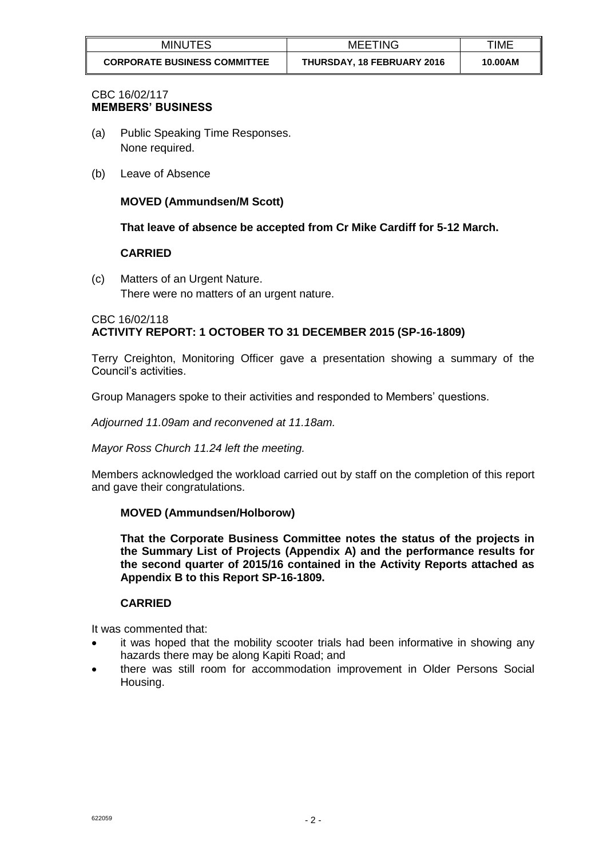| <b>MINUTES</b>                      | <b>MEETING</b>             | TIME    |
|-------------------------------------|----------------------------|---------|
| <b>CORPORATE BUSINESS COMMITTEE</b> | THURSDAY, 18 FEBRUARY 2016 | 10.00AM |

## CBC 16/02/117 **MEMBERS' BUSINESS**

- (a) Public Speaking Time Responses. None required.
- (b) Leave of Absence

# **MOVED (Ammundsen/M Scott)**

**That leave of absence be accepted from Cr Mike Cardiff for 5-12 March.**

## **CARRIED**

(c) Matters of an Urgent Nature. There were no matters of an urgent nature.

## CBC 16/02/118 **ACTIVITY REPORT: 1 OCTOBER TO 31 DECEMBER 2015 (SP-16-1809)**

Terry Creighton, Monitoring Officer gave a presentation showing a summary of the Council's activities.

Group Managers spoke to their activities and responded to Members' questions.

*Adjourned 11.09am and reconvened at 11.18am.*

*Mayor Ross Church 11.24 left the meeting.*

Members acknowledged the workload carried out by staff on the completion of this report and gave their congratulations.

## **MOVED (Ammundsen/Holborow)**

**That the Corporate Business Committee notes the status of the projects in the Summary List of Projects (Appendix A) and the performance results for the second quarter of 2015/16 contained in the Activity Reports attached as Appendix B to this Report SP-16-1809.**

### **CARRIED**

It was commented that:

- it was hoped that the mobility scooter trials had been informative in showing any hazards there may be along Kapiti Road; and
- there was still room for accommodation improvement in Older Persons Social Housing.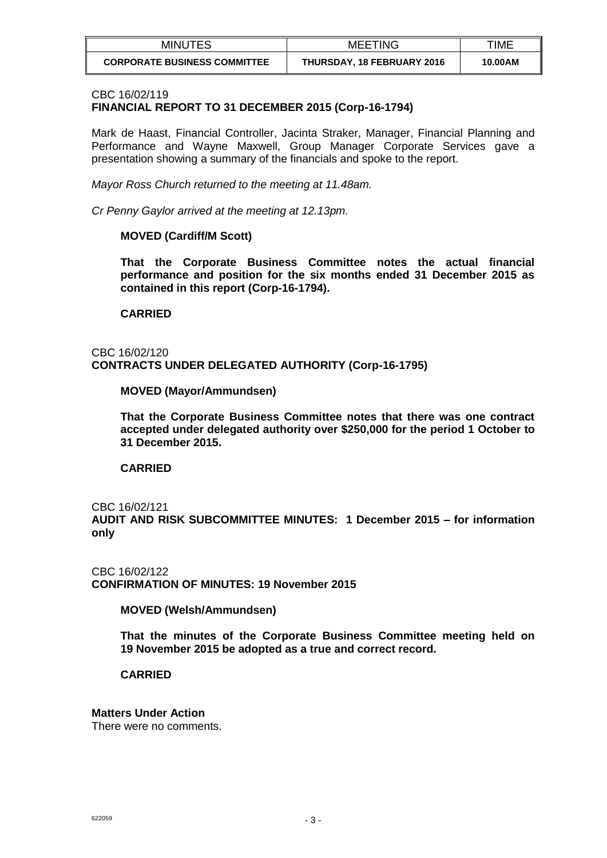| <b>MINUTES</b>                      | <b>MEETING</b>             | TIME    |
|-------------------------------------|----------------------------|---------|
| <b>CORPORATE BUSINESS COMMITTEE</b> | THURSDAY, 18 FEBRUARY 2016 | 10.00AM |

### CBC 16/02/119

## **FINANCIAL REPORT TO 31 DECEMBER 2015 (Corp-16-1794)**

Mark de Haast, Financial Controller, Jacinta Straker, Manager, Financial Planning and Performance and Wayne Maxwell, Group Manager Corporate Services gave a presentation showing a summary of the financials and spoke to the report.

*Mayor Ross Church returned to the meeting at 11.48am.*

*Cr Penny Gaylor arrived at the meeting at 12.13pm.*

### **MOVED (Cardiff/M Scott)**

**That the Corporate Business Committee notes the actual financial performance and position for the six months ended 31 December 2015 as contained in this report (Corp-16-1794).**

### **CARRIED**

### CBC 16/02/120 **CONTRACTS UNDER DELEGATED AUTHORITY (Corp-16-1795)**

**MOVED (Mayor/Ammundsen)**

**That the Corporate Business Committee notes that there was one contract accepted under delegated authority over \$250,000 for the period 1 October to 31 December 2015.**

**CARRIED**

#### CBC 16/02/121

**AUDIT AND RISK SUBCOMMITTEE MINUTES: 1 December 2015 – for information only**

CBC 16/02/122 **CONFIRMATION OF MINUTES: 19 November 2015**

**MOVED (Welsh/Ammundsen)**

**That the minutes of the Corporate Business Committee meeting held on 19 November 2015 be adopted as a true and correct record.**

**CARRIED**

### **Matters Under Action**

There were no comments.